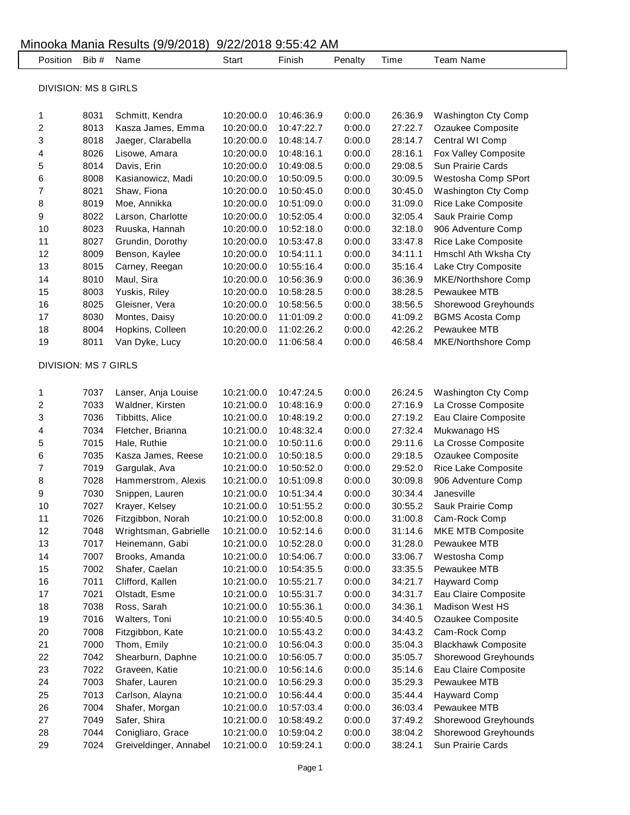| Position                    | Bib #                       | Name                   | Start      | Finish     | Penalty | Time    | <b>Team Name</b>           |  |  |  |  |
|-----------------------------|-----------------------------|------------------------|------------|------------|---------|---------|----------------------------|--|--|--|--|
|                             |                             |                        |            |            |         |         |                            |  |  |  |  |
| <b>DIVISION: MS 8 GIRLS</b> |                             |                        |            |            |         |         |                            |  |  |  |  |
| 1                           | 8031                        | Schmitt, Kendra        | 10:20:00.0 | 10:46:36.9 | 0:00.0  | 26:36.9 | <b>Washington Cty Comp</b> |  |  |  |  |
| 2                           | 8013                        | Kasza James, Emma      | 10:20:00.0 | 10:47:22.7 | 0:00.0  | 27:22.7 | Ozaukee Composite          |  |  |  |  |
| 3                           | 8018                        | Jaeger, Clarabella     | 10:20:00.0 | 10:48:14.7 | 0:00.0  | 28:14.7 | Central WI Comp            |  |  |  |  |
| 4                           | 8026                        | Lisowe, Amara          | 10:20:00.0 | 10:48:16.1 | 0:00.0  | 28:16.1 | Fox Valley Composite       |  |  |  |  |
| 5                           | 8014                        | Davis, Erin            | 10:20:00.0 | 10:49:08.5 | 0:00.0  | 29:08.5 | Sun Prairie Cards          |  |  |  |  |
| 6                           | 8008                        | Kasianowicz, Madi      | 10:20:00.0 | 10:50:09.5 | 0:00.0  | 30:09.5 | Westosha Comp SPort        |  |  |  |  |
| 7                           | 8021                        | Shaw, Fiona            | 10:20:00.0 | 10:50:45.0 | 0:00.0  | 30:45.0 | Washington Cty Comp        |  |  |  |  |
| 8                           | 8019                        | Moe, Annikka           | 10:20:00.0 | 10:51:09.0 | 0:00.0  | 31:09.0 | Rice Lake Composite        |  |  |  |  |
| 9                           | 8022                        | Larson, Charlotte      | 10:20:00.0 | 10:52:05.4 | 0:00.0  | 32:05.4 | Sauk Prairie Comp          |  |  |  |  |
| 10                          | 8023                        | Ruuska, Hannah         | 10:20:00.0 | 10:52:18.0 | 0:00.0  | 32:18.0 | 906 Adventure Comp         |  |  |  |  |
| 11                          | 8027                        | Grundin, Dorothy       | 10:20:00.0 | 10:53:47.8 | 0:00.0  | 33:47.8 | Rice Lake Composite        |  |  |  |  |
| 12                          | 8009                        | Benson, Kaylee         | 10:20:00.0 | 10:54:11.1 | 0:00.0  | 34:11.1 | Hmschl Ath Wksha Cty       |  |  |  |  |
| 13                          | 8015                        | Carney, Reegan         | 10:20:00.0 | 10:55:16.4 | 0:00.0  | 35:16.4 | Lake Ctry Composite        |  |  |  |  |
| 14                          | 8010                        | Maul, Sira             | 10:20:00.0 | 10:56:36.9 | 0:00.0  | 36:36.9 | <b>MKE/Northshore Comp</b> |  |  |  |  |
| 15                          | 8003                        | Yuskis, Riley          | 10:20:00.0 | 10:58:28.5 | 0:00.0  | 38:28.5 | Pewaukee MTB               |  |  |  |  |
| 16                          | 8025                        | Gleisner, Vera         | 10:20:00.0 | 10:58:56.5 | 0:00.0  | 38:56.5 | Shorewood Greyhounds       |  |  |  |  |
| 17                          | 8030                        | Montes, Daisy          | 10:20:00.0 | 11:01:09.2 | 0:00.0  | 41:09.2 | <b>BGMS Acosta Comp</b>    |  |  |  |  |
| 18                          | 8004                        | Hopkins, Colleen       | 10:20:00.0 | 11:02:26.2 | 0:00.0  | 42:26.2 | Pewaukee MTB               |  |  |  |  |
| 19                          | 8011                        | Van Dyke, Lucy         | 10:20:00.0 | 11:06:58.4 | 0:00.0  | 46:58.4 | MKE/Northshore Comp        |  |  |  |  |
|                             |                             |                        |            |            |         |         |                            |  |  |  |  |
|                             | <b>DIVISION: MS 7 GIRLS</b> |                        |            |            |         |         |                            |  |  |  |  |
| 1                           | 7037                        | Lanser, Anja Louise    | 10:21:00.0 | 10:47:24.5 | 0:00.0  | 26:24.5 | Washington Cty Comp        |  |  |  |  |
| 2                           | 7033                        | Waldner, Kirsten       | 10:21:00.0 | 10:48:16.9 | 0:00.0  | 27:16.9 | La Crosse Composite        |  |  |  |  |
| 3                           | 7036                        | Tibbitts, Alice        | 10:21:00.0 | 10:48:19.2 | 0:00.0  | 27:19.2 | Eau Claire Composite       |  |  |  |  |
| 4                           | 7034                        | Fletcher, Brianna      | 10:21:00.0 | 10:48:32.4 | 0:00.0  | 27:32.4 | Mukwanago HS               |  |  |  |  |
| 5                           | 7015                        | Hale, Ruthie           | 10:21:00.0 | 10:50:11.6 | 0:00.0  | 29:11.6 | La Crosse Composite        |  |  |  |  |
| 6                           | 7035                        | Kasza James, Reese     | 10:21:00.0 | 10:50:18.5 | 0:00.0  | 29:18.5 | Ozaukee Composite          |  |  |  |  |
| 7                           | 7019                        | Gargulak, Ava          | 10:21:00.0 | 10:50:52.0 | 0:00.0  | 29:52.0 | Rice Lake Composite        |  |  |  |  |
| 8                           | 7028                        | Hammerstrom, Alexis    | 10:21:00.0 | 10:51:09.8 | 0:00.0  | 30:09.8 | 906 Adventure Comp         |  |  |  |  |
| 9                           | 7030                        | Snippen, Lauren        | 10:21:00.0 | 10:51:34.4 | 0:00.0  | 30:34.4 | Janesville                 |  |  |  |  |
| 10                          | 7027                        | Krayer, Kelsey         | 10:21:00.0 | 10:51:55.2 | 0:00.0  | 30:55.2 | Sauk Prairie Comp          |  |  |  |  |
| 11                          | 7026                        | Fitzgibbon, Norah      | 10:21:00.0 | 10:52:00.8 | 0:00.0  | 31:00.8 | Cam-Rock Comp              |  |  |  |  |
| 12                          | 7048                        | Wrightsman, Gabrielle  | 10:21:00.0 | 10:52:14.6 | 0:00.0  | 31:14.6 | MKE MTB Composite          |  |  |  |  |
| 13                          | 7017                        | Heinemann, Gabi        | 10:21:00.0 | 10:52:28.0 | 0:00.0  | 31:28.0 | Pewaukee MTB               |  |  |  |  |
| 14                          | 7007                        | Brooks, Amanda         | 10:21:00.0 | 10:54:06.7 | 0:00.0  | 33:06.7 | Westosha Comp              |  |  |  |  |
| 15                          | 7002                        | Shafer, Caelan         | 10:21:00.0 | 10:54:35.5 | 0:00.0  | 33:35.5 | Pewaukee MTB               |  |  |  |  |
| 16                          | 7011                        | Clifford, Kallen       | 10:21:00.0 | 10:55:21.7 | 0:00.0  | 34:21.7 | <b>Hayward Comp</b>        |  |  |  |  |
| 17                          | 7021                        | Olstadt, Esme          | 10:21:00.0 | 10:55:31.7 | 0:00.0  | 34:31.7 | Eau Claire Composite       |  |  |  |  |
| 18                          | 7038                        | Ross, Sarah            | 10:21:00.0 | 10:55:36.1 | 0:00.0  | 34:36.1 | Madison West HS            |  |  |  |  |
| 19                          | 7016                        | Walters, Toni          | 10:21:00.0 | 10:55:40.5 | 0:00.0  | 34:40.5 | Ozaukee Composite          |  |  |  |  |
| 20                          | 7008                        | Fitzgibbon, Kate       | 10:21:00.0 | 10:55:43.2 | 0:00.0  | 34:43.2 | Cam-Rock Comp              |  |  |  |  |
| 21                          | 7000                        | Thom, Emily            | 10:21:00.0 | 10:56:04.3 | 0:00.0  | 35:04.3 | <b>Blackhawk Composite</b> |  |  |  |  |
| 22                          | 7042                        | Shearburn, Daphne      | 10:21:00.0 | 10:56:05.7 | 0:00.0  | 35:05.7 | Shorewood Greyhounds       |  |  |  |  |
| 23                          | 7022                        | Graveen, Katie         | 10:21:00.0 | 10:56:14.6 | 0:00.0  | 35:14.6 | Eau Claire Composite       |  |  |  |  |
| 24                          | 7003                        | Shafer, Lauren         | 10:21:00.0 | 10:56:29.3 | 0:00.0  | 35:29.3 | Pewaukee MTB               |  |  |  |  |
| 25                          | 7013                        | Carlson, Alayna        | 10:21:00.0 | 10:56:44.4 | 0:00.0  | 35:44.4 | <b>Hayward Comp</b>        |  |  |  |  |
| 26                          | 7004                        | Shafer, Morgan         | 10:21:00.0 | 10:57:03.4 | 0:00.0  | 36:03.4 | Pewaukee MTB               |  |  |  |  |
| 27                          | 7049                        | Safer, Shira           | 10:21:00.0 | 10:58:49.2 | 0:00.0  | 37:49.2 | Shorewood Greyhounds       |  |  |  |  |
| 28                          | 7044                        | Conigliaro, Grace      | 10:21:00.0 | 10:59:04.2 | 0:00.0  | 38:04.2 | Shorewood Greyhounds       |  |  |  |  |
| 29                          | 7024                        | Greiveldinger, Annabel | 10:21:00.0 | 10:59:24.1 | 0:00.0  | 38:24.1 | Sun Prairie Cards          |  |  |  |  |